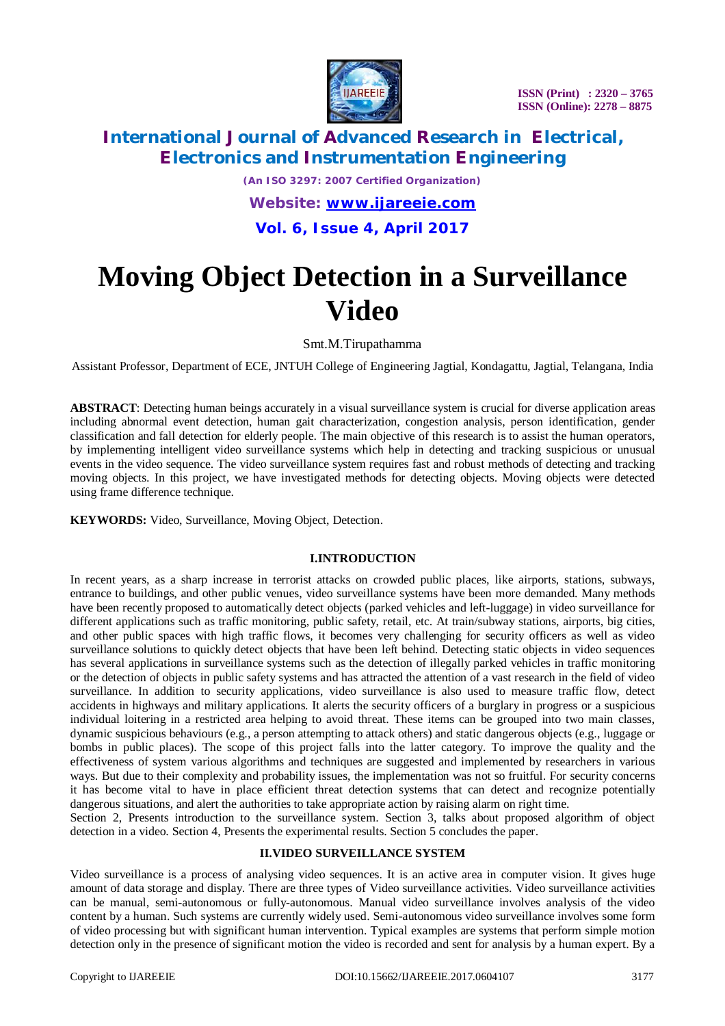

# **International Journal of Advanced Research in Electrical, Electronics and Instrumentation Engineering**

*(An ISO 3297: 2007 Certified Organization) Website: [www.ijareeie.com](http://www.ijareeie.com)* **Vol. 6, Issue 4, April 2017**

# **Moving Object Detection in a Surveillance Video**

Smt.M.Tirupathamma

Assistant Professor, Department of ECE, JNTUH College of Engineering Jagtial, Kondagattu, Jagtial, Telangana, India

**ABSTRACT**: Detecting human beings accurately in a visual surveillance system is crucial for diverse application areas including abnormal event detection, human gait characterization, congestion analysis, person identification, gender classification and fall detection for elderly people. The main objective of this research is to assist the human operators, by implementing intelligent video surveillance systems which help in detecting and tracking suspicious or unusual events in the video sequence. The video surveillance system requires fast and robust methods of detecting and tracking moving objects. In this project, we have investigated methods for detecting objects. Moving objects were detected using frame difference technique.

**KEYWORDS:** Video, Surveillance, Moving Object, Detection.

#### **I.INTRODUCTION**

In recent years, as a sharp increase in terrorist attacks on crowded public places, like airports, stations, subways, entrance to buildings, and other public venues, video surveillance systems have been more demanded. Many methods have been recently proposed to automatically detect objects (parked vehicles and left-luggage) in video surveillance for different applications such as traffic monitoring, public safety, retail, etc. At train/subway stations, airports, big cities, and other public spaces with high traffic flows, it becomes very challenging for security officers as well as video surveillance solutions to quickly detect objects that have been left behind. Detecting static objects in video sequences has several applications in surveillance systems such as the detection of illegally parked vehicles in traffic monitoring or the detection of objects in public safety systems and has attracted the attention of a vast research in the field of video surveillance. In addition to security applications, video surveillance is also used to measure traffic flow, detect accidents in highways and military applications. It alerts the security officers of a burglary in progress or a suspicious individual loitering in a restricted area helping to avoid threat. These items can be grouped into two main classes, dynamic suspicious behaviours (e.g., a person attempting to attack others) and static dangerous objects (e.g., luggage or bombs in public places). The scope of this project falls into the latter category. To improve the quality and the effectiveness of system various algorithms and techniques are suggested and implemented by researchers in various ways. But due to their complexity and probability issues, the implementation was not so fruitful. For security concerns it has become vital to have in place efficient threat detection systems that can detect and recognize potentially dangerous situations, and alert the authorities to take appropriate action by raising alarm on right time.

Section 2, Presents introduction to the surveillance system. Section 3, talks about proposed algorithm of object detection in a video. Section 4, Presents the experimental results. Section 5 concludes the paper.

#### **II.VIDEO SURVEILLANCE SYSTEM**

Video surveillance is a process of analysing video sequences. It is an active area in computer vision. It gives huge amount of data storage and display. There are three types of Video surveillance activities. Video surveillance activities can be manual, semi-autonomous or fully-autonomous. Manual video surveillance involves analysis of the video content by a human. Such systems are currently widely used. Semi-autonomous video surveillance involves some form of video processing but with significant human intervention. Typical examples are systems that perform simple motion detection only in the presence of significant motion the video is recorded and sent for analysis by a human expert. By a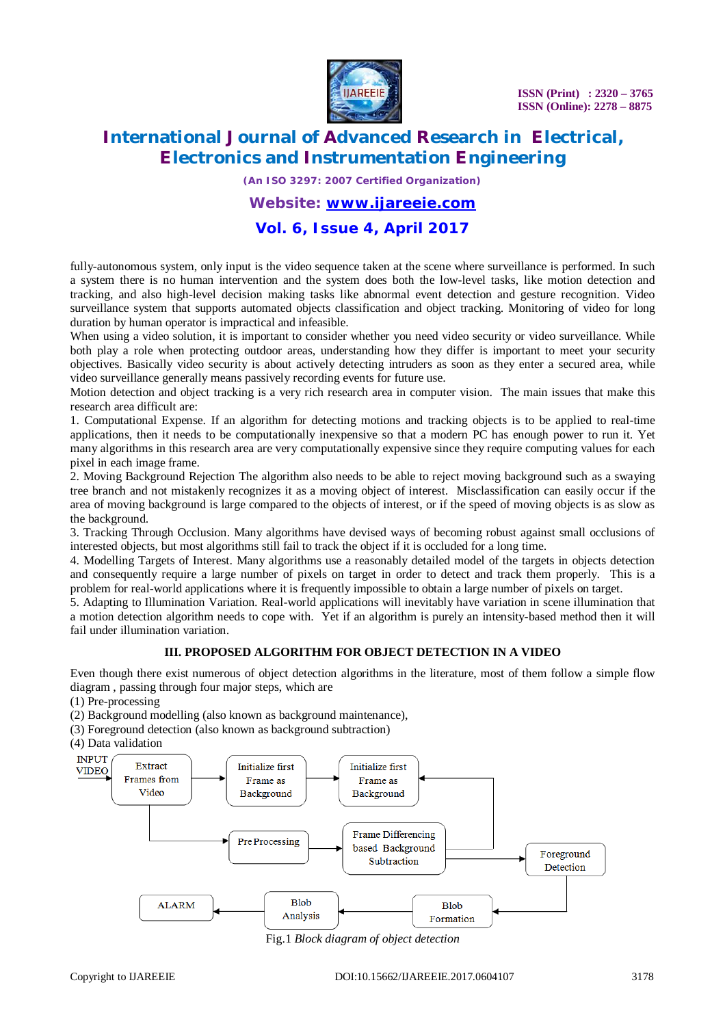

# **International Journal of Advanced Research in Electrical, Electronics and Instrumentation Engineering**

*(An ISO 3297: 2007 Certified Organization)*

#### *Website: [www.ijareeie.com](http://www.ijareeie.com)*

### **Vol. 6, Issue 4, April 2017**

fully-autonomous system, only input is the video sequence taken at the scene where surveillance is performed. In such a system there is no human intervention and the system does both the low-level tasks, like motion detection and tracking, and also high-level decision making tasks like abnormal event detection and gesture recognition. Video surveillance system that supports automated objects classification and object tracking. Monitoring of video for long duration by human operator is impractical and infeasible.

When using a video solution, it is important to consider whether you need video security or video surveillance. While both play a role when protecting outdoor areas, understanding how they differ is important to meet your security objectives. Basically video security is about actively detecting intruders as soon as they enter a secured area, while video surveillance generally means passively recording events for future use.

Motion detection and object tracking is a very rich research area in computer vision. The main issues that make this research area difficult are:

1. Computational Expense. If an algorithm for detecting motions and tracking objects is to be applied to real-time applications, then it needs to be computationally inexpensive so that a modern PC has enough power to run it. Yet many algorithms in this research area are very computationally expensive since they require computing values for each pixel in each image frame.

2. Moving Background Rejection The algorithm also needs to be able to reject moving background such as a swaying tree branch and not mistakenly recognizes it as a moving object of interest. Misclassification can easily occur if the area of moving background is large compared to the objects of interest, or if the speed of moving objects is as slow as the background.

3. Tracking Through Occlusion. Many algorithms have devised ways of becoming robust against small occlusions of interested objects, but most algorithms still fail to track the object if it is occluded for a long time.

4. Modelling Targets of Interest. Many algorithms use a reasonably detailed model of the targets in objects detection and consequently require a large number of pixels on target in order to detect and track them properly. This is a problem for real-world applications where it is frequently impossible to obtain a large number of pixels on target.

5. Adapting to Illumination Variation. Real-world applications will inevitably have variation in scene illumination that a motion detection algorithm needs to cope with. Yet if an algorithm is purely an intensity-based method then it will fail under illumination variation.

#### **III. PROPOSED ALGORITHM FOR OBJECT DETECTION IN A VIDEO**

Even though there exist numerous of object detection algorithms in the literature, most of them follow a simple flow diagram , passing through four major steps, which are

- (1) Pre-processing
- (2) Background modelling (also known as background maintenance),
- (3) Foreground detection (also known as background subtraction)
- (4) Data validation



Fig.1 *Block diagram of object detection*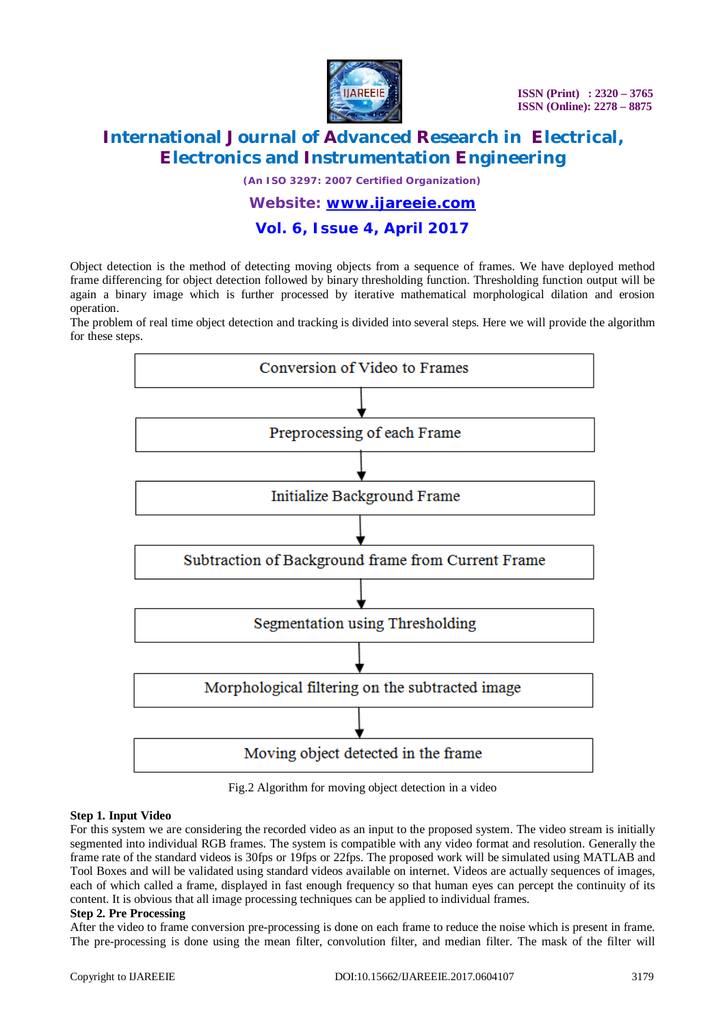

# **International Journal of Advanced Research in Electrical, Electronics and Instrumentation Engineering**

*(An ISO 3297: 2007 Certified Organization)*

### *Website: [www.ijareeie.com](http://www.ijareeie.com)*

### **Vol. 6, Issue 4, April 2017**

Object detection is the method of detecting moving objects from a sequence of frames. We have deployed method frame differencing for object detection followed by binary thresholding function. Thresholding function output will be again a binary image which is further processed by iterative mathematical morphological dilation and erosion operation.

The problem of real time object detection and tracking is divided into several steps. Here we will provide the algorithm for these steps.



Fig.2 Algorithm for moving object detection in a video

#### **Step 1. Input Video**

For this system we are considering the recorded video as an input to the proposed system. The video stream is initially segmented into individual RGB frames. The system is compatible with any video format and resolution. Generally the frame rate of the standard videos is 30fps or 19fps or 22fps. The proposed work will be simulated using MATLAB and Tool Boxes and will be validated using standard videos available on internet. Videos are actually sequences of images, each of which called a frame, displayed in fast enough frequency so that human eyes can percept the continuity of its content. It is obvious that all image processing techniques can be applied to individual frames.

#### **Step 2. Pre Processing**

After the video to frame conversion pre-processing is done on each frame to reduce the noise which is present in frame. The pre-processing is done using the mean filter, convolution filter, and median filter. The mask of the filter will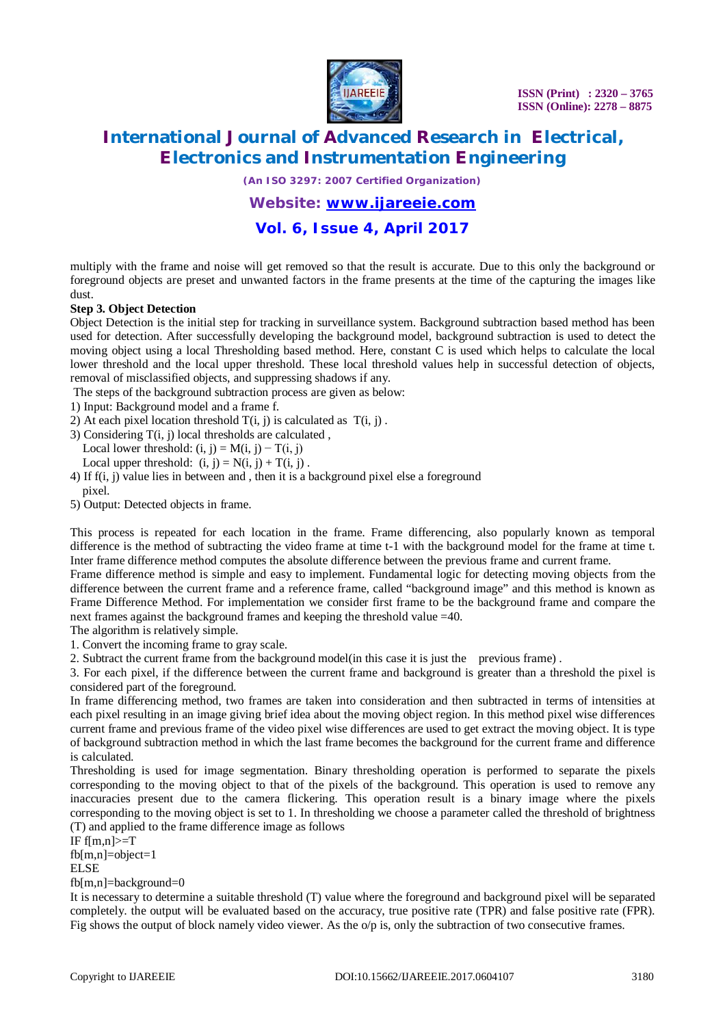

# **International Journal of Advanced Research in Electrical, Electronics and Instrumentation Engineering**

*(An ISO 3297: 2007 Certified Organization)*

### *Website: [www.ijareeie.com](http://www.ijareeie.com)*

### **Vol. 6, Issue 4, April 2017**

multiply with the frame and noise will get removed so that the result is accurate. Due to this only the background or foreground objects are preset and unwanted factors in the frame presents at the time of the capturing the images like dust.

#### **Step 3. Object Detection**

Object Detection is the initial step for tracking in surveillance system. Background subtraction based method has been used for detection. After successfully developing the background model, background subtraction is used to detect the moving object using a local Thresholding based method. Here, constant C is used which helps to calculate the local lower threshold and the local upper threshold. These local threshold values help in successful detection of objects, removal of misclassified objects, and suppressing shadows if any.

The steps of the background subtraction process are given as below:

1) Input: Background model and a frame f.

- 2) At each pixel location threshold  $T(i, j)$  is calculated as  $T(i, j)$ .
- 3) Considering T(i, j) local thresholds are calculated ,
	- Local lower threshold:  $(i, j) = M(i, j) T(i, j)$
	- Local upper threshold:  $(i, j) = N(i, j) + T(i, j)$ .
- 4) If f(i, j) value lies in between and , then it is a background pixel else a foreground pixel.
- 5) Output: Detected objects in frame.

This process is repeated for each location in the frame. Frame differencing, also popularly known as temporal difference is the method of subtracting the video frame at time t-1 with the background model for the frame at time t. Inter frame difference method computes the absolute difference between the previous frame and current frame.

Frame difference method is simple and easy to implement. Fundamental logic for detecting moving objects from the difference between the current frame and a reference frame, called "background image" and this method is known as Frame Difference Method. For implementation we consider first frame to be the background frame and compare the next frames against the background frames and keeping the threshold value =40.

The algorithm is relatively simple.

1. Convert the incoming frame to gray scale.

2. Subtract the current frame from the background model(in this case it is just the previous frame) .

3. For each pixel, if the difference between the current frame and background is greater than a threshold the pixel is considered part of the foreground.

In frame differencing method, two frames are taken into consideration and then subtracted in terms of intensities at each pixel resulting in an image giving brief idea about the moving object region. In this method pixel wise differences current frame and previous frame of the video pixel wise differences are used to get extract the moving object. It is type of background subtraction method in which the last frame becomes the background for the current frame and difference is calculated.

Thresholding is used for image segmentation. Binary thresholding operation is performed to separate the pixels corresponding to the moving object to that of the pixels of the background. This operation is used to remove any inaccuracies present due to the camera flickering. This operation result is a binary image where the pixels corresponding to the moving object is set to 1. In thresholding we choose a parameter called the threshold of brightness (T) and applied to the frame difference image as follows

IF  $f[m,n] \geq T$ fb[m,n]=object=1 ELSE

#### fb[m,n]=background=0

It is necessary to determine a suitable threshold (T) value where the foreground and background pixel will be separated completely. the output will be evaluated based on the accuracy, true positive rate (TPR) and false positive rate (FPR). Fig shows the output of block namely video viewer. As the o/p is, only the subtraction of two consecutive frames.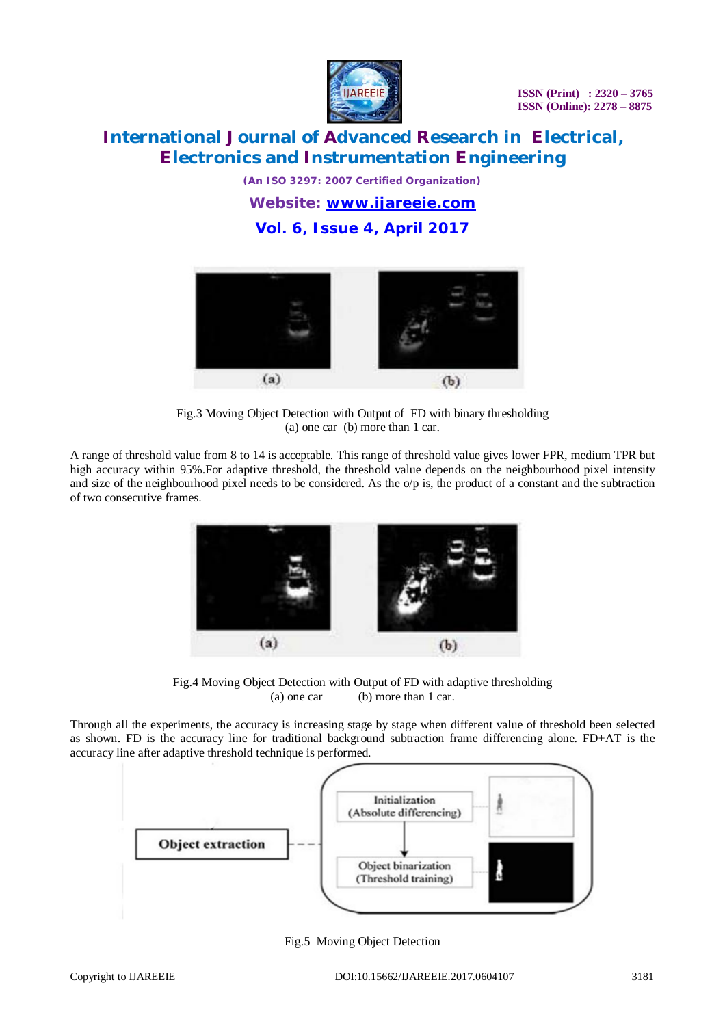

# **International Journal of Advanced Research in Electrical, Electronics and Instrumentation Engineering**

*(An ISO 3297: 2007 Certified Organization) Website: [www.ijareeie.com](http://www.ijareeie.com)* **Vol. 6, Issue 4, April 2017**



Fig.3 Moving Object Detection with Output of FD with binary thresholding (a) one car (b) more than 1 car.

A range of threshold value from 8 to 14 is acceptable. This range of threshold value gives lower FPR, medium TPR but high accuracy within 95%.For adaptive threshold, the threshold value depends on the neighbourhood pixel intensity and size of the neighbourhood pixel needs to be considered. As the  $\alpha/p$  is, the product of a constant and the subtraction of two consecutive frames.



Fig.4 Moving Object Detection with Output of FD with adaptive thresholding (a) one car (b) more than 1 car.

Through all the experiments, the accuracy is increasing stage by stage when different value of threshold been selected as shown. FD is the accuracy line for traditional background subtraction frame differencing alone. FD+AT is the accuracy line after adaptive threshold technique is performed.



Fig.5 Moving Object Detection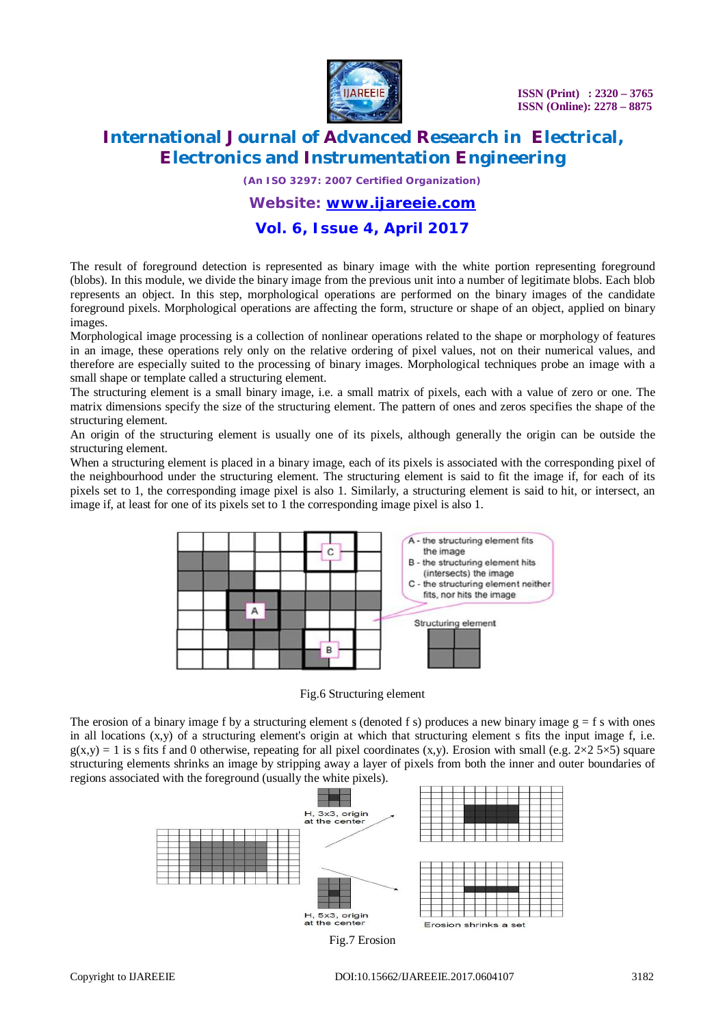

# **International Journal of Advanced Research in Electrical, Electronics and Instrumentation Engineering**

*(An ISO 3297: 2007 Certified Organization)*

### *Website: [www.ijareeie.com](http://www.ijareeie.com)*

### **Vol. 6, Issue 4, April 2017**

The result of foreground detection is represented as binary image with the white portion representing foreground (blobs). In this module, we divide the binary image from the previous unit into a number of legitimate blobs. Each blob represents an object. In this step, morphological operations are performed on the binary images of the candidate foreground pixels. Morphological operations are affecting the form, structure or shape of an object, applied on binary images.

Morphological image processing is a collection of nonlinear operations related to the shape or morphology of features in an image, these operations rely only on the relative ordering of pixel values, not on their numerical values, and therefore are especially suited to the processing of binary images. Morphological techniques probe an image with a small shape or template called a structuring element.

The structuring element is a small binary image, i.e. a small matrix of pixels, each with a value of zero or one. The matrix dimensions specify the size of the structuring element. The pattern of ones and zeros specifies the shape of the structuring element.

An origin of the structuring element is usually one of its pixels, although generally the origin can be outside the structuring element.

When a structuring element is placed in a binary image, each of its pixels is associated with the corresponding pixel of the neighbourhood under the structuring element. The structuring element is said to fit the image if, for each of its pixels set to 1, the corresponding image pixel is also 1. Similarly, a structuring element is said to hit, or intersect, an image if, at least for one of its pixels set to 1 the corresponding image pixel is also 1.



Fig.6 Structuring element

The erosion of a binary image f by a structuring element s (denoted f s) produces a new binary image  $g = f s$  with ones in all locations  $(x,y)$  of a structuring element's origin at which that structuring element s fits the input image  $f$ , i.e.  $g(x,y) = 1$  is s fits f and 0 otherwise, repeating for all pixel coordinates  $(x,y)$ . Erosion with small (e.g.  $2 \times 2.5 \times 5$ ) square structuring elements shrinks an image by stripping away a layer of pixels from both the inner and outer boundaries of regions associated with the foreground (usually the white pixels).

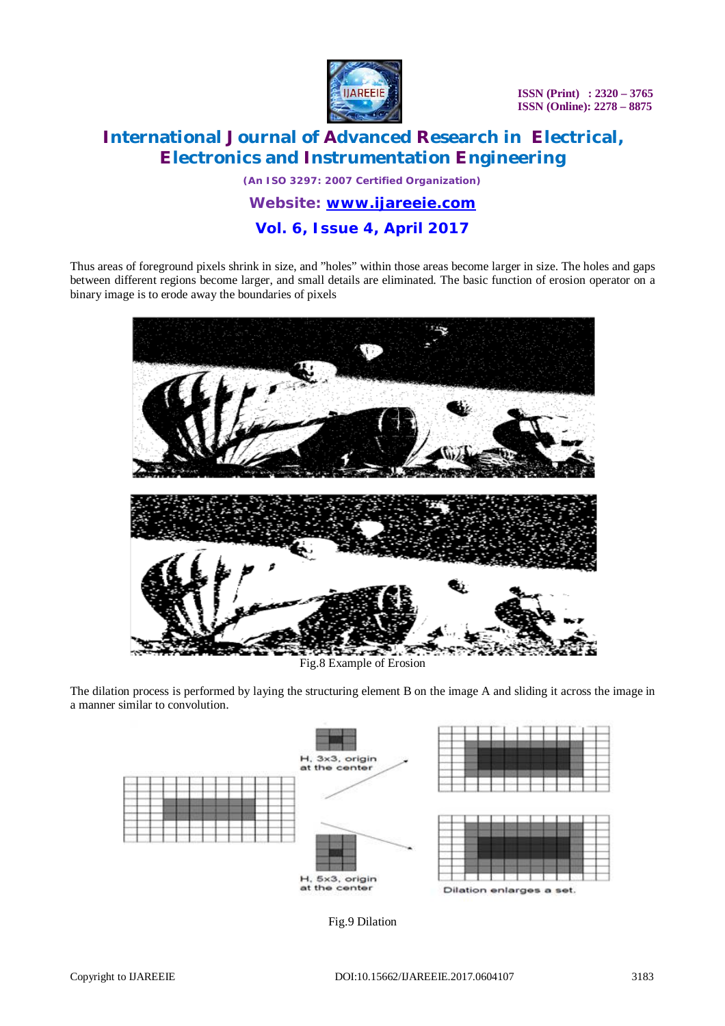

# **International Journal of Advanced Research in Electrical, Electronics and Instrumentation Engineering**

*(An ISO 3297: 2007 Certified Organization) Website: [www.ijareeie.com](http://www.ijareeie.com)*

# **Vol. 6, Issue 4, April 2017**

Thus areas of foreground pixels shrink in size, and "holes" within those areas become larger in size. The holes and gaps between different regions become larger, and small details are eliminated. The basic function of erosion operator on a binary image is to erode away the boundaries of pixels



The dilation process is performed by laying the structuring element B on the image A and sliding it across the image in a manner similar to convolution.



Fig.9 Dilation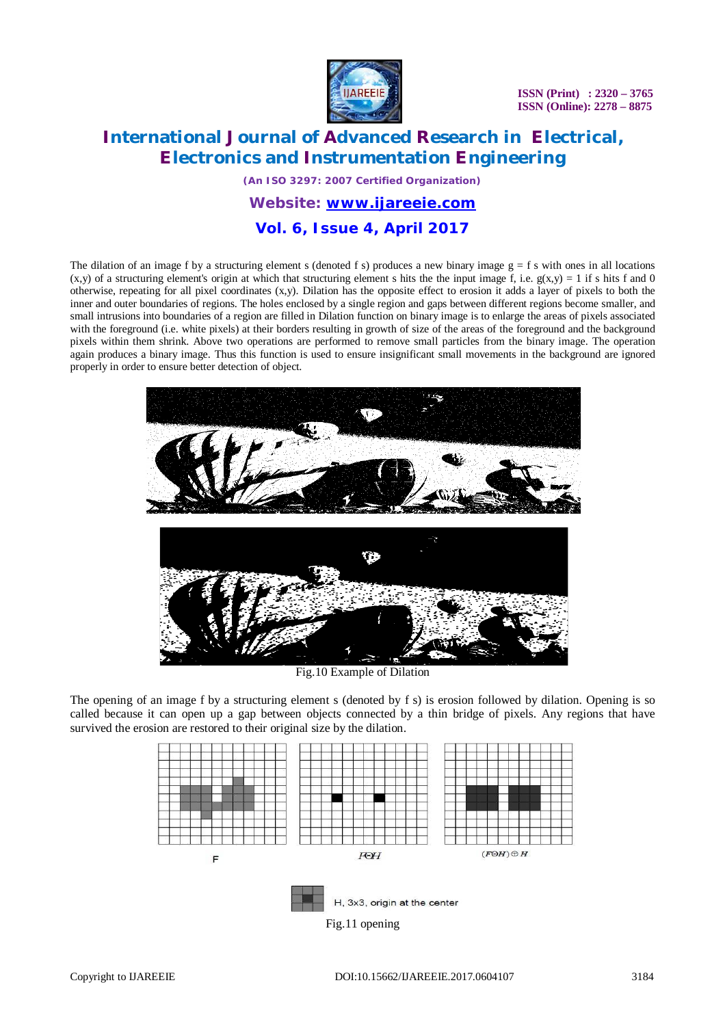

# **International Journal of Advanced Research in Electrical, Electronics and Instrumentation Engineering**

*(An ISO 3297: 2007 Certified Organization)*

*Website: [www.ijareeie.com](http://www.ijareeie.com)*

### **Vol. 6, Issue 4, April 2017**

The dilation of an image f by a structuring element s (denoted f s) produces a new binary image  $g = f$  s with ones in all locations  $(x,y)$  of a structuring element's origin at which that structuring element s hits the the input image f, i.e.  $g(x,y) = 1$  if s hits f and 0 otherwise, repeating for all pixel coordinates (x,y). Dilation has the opposite effect to erosion it adds a layer of pixels to both the inner and outer boundaries of regions. The holes enclosed by a single region and gaps between different regions become smaller, and small intrusions into boundaries of a region are filled in Dilation function on binary image is to enlarge the areas of pixels associated with the foreground (i.e. white pixels) at their borders resulting in growth of size of the areas of the foreground and the background pixels within them shrink. Above two operations are performed to remove small particles from the binary image. The operation again produces a binary image. Thus this function is used to ensure insignificant small movements in the background are ignored properly in order to ensure better detection of object.



Fig.10 Example of Dilation

The opening of an image f by a structuring element s (denoted by f s) is erosion followed by dilation. Opening is so called because it can open up a gap between objects connected by a thin bridge of pixels. Any regions that have survived the erosion are restored to their original size by the dilation.

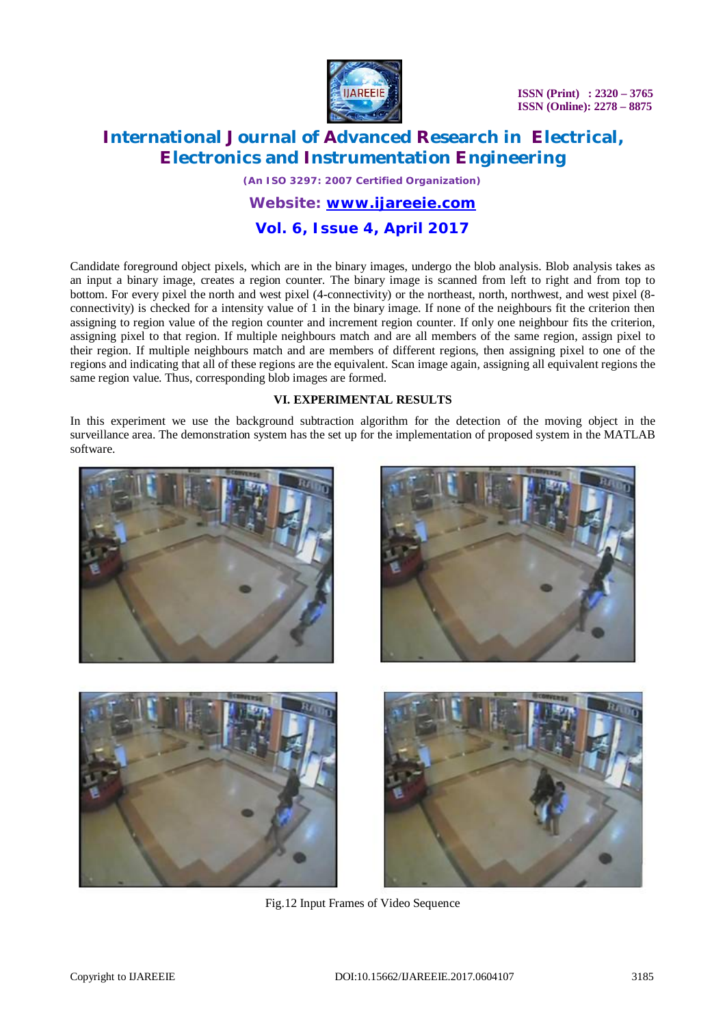

# **International Journal of Advanced Research in Electrical, Electronics and Instrumentation Engineering**

*(An ISO 3297: 2007 Certified Organization)*

*Website: [www.ijareeie.com](http://www.ijareeie.com)*

## **Vol. 6, Issue 4, April 2017**

Candidate foreground object pixels, which are in the binary images, undergo the blob analysis. Blob analysis takes as an input a binary image, creates a region counter. The binary image is scanned from left to right and from top to bottom. For every pixel the north and west pixel (4-connectivity) or the northeast, north, northwest, and west pixel (8 connectivity) is checked for a intensity value of 1 in the binary image. If none of the neighbours fit the criterion then assigning to region value of the region counter and increment region counter. If only one neighbour fits the criterion, assigning pixel to that region. If multiple neighbours match and are all members of the same region, assign pixel to their region. If multiple neighbours match and are members of different regions, then assigning pixel to one of the regions and indicating that all of these regions are the equivalent. Scan image again, assigning all equivalent regions the same region value. Thus, corresponding blob images are formed.

#### **VI. EXPERIMENTAL RESULTS**

In this experiment we use the background subtraction algorithm for the detection of the moving object in the surveillance area. The demonstration system has the set up for the implementation of proposed system in the MATLAB software.



Fig.12 Input Frames of Video Sequence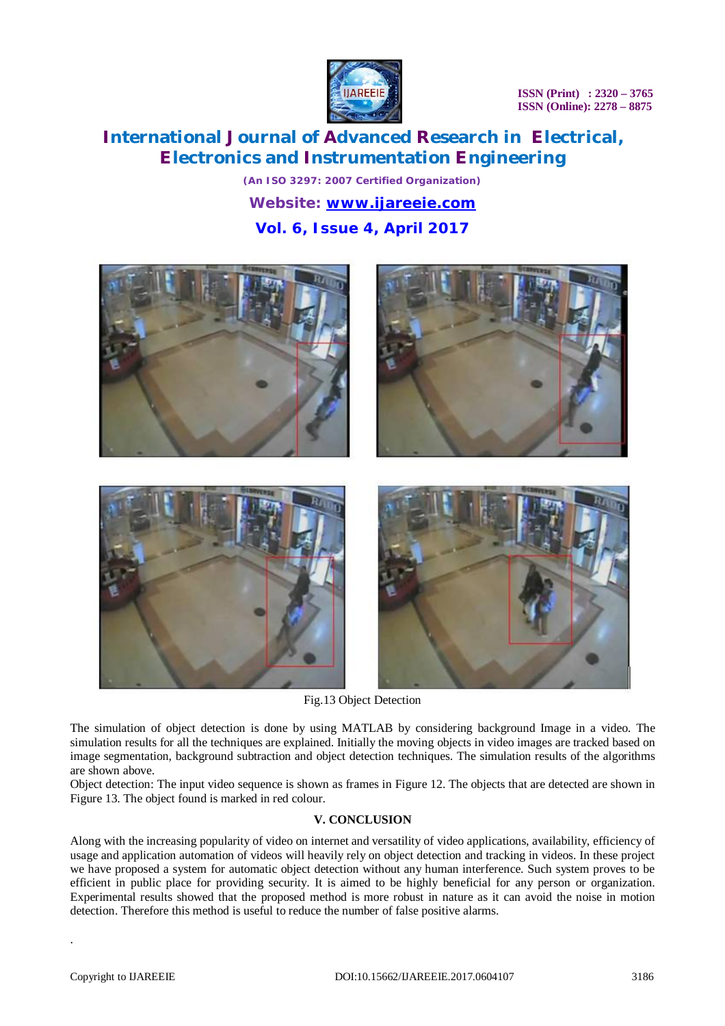

# **International Journal of Advanced Research in Electrical, Electronics and Instrumentation Engineering**

*(An ISO 3297: 2007 Certified Organization) Website: [www.ijareeie.com](http://www.ijareeie.com)* **Vol. 6, Issue 4, April 2017**



Fig.13 Object Detection

The simulation of object detection is done by using MATLAB by considering background Image in a video. The simulation results for all the techniques are explained. Initially the moving objects in video images are tracked based on image segmentation, background subtraction and object detection techniques. The simulation results of the algorithms are shown above.

Object detection: The input video sequence is shown as frames in Figure 12. The objects that are detected are shown in Figure 13. The object found is marked in red colour.

#### **V. CONCLUSION**

Along with the increasing popularity of video on internet and versatility of video applications, availability, efficiency of usage and application automation of videos will heavily rely on object detection and tracking in videos. In these project we have proposed a system for automatic object detection without any human interference. Such system proves to be efficient in public place for providing security. It is aimed to be highly beneficial for any person or organization. Experimental results showed that the proposed method is more robust in nature as it can avoid the noise in motion detection. Therefore this method is useful to reduce the number of false positive alarms.

.